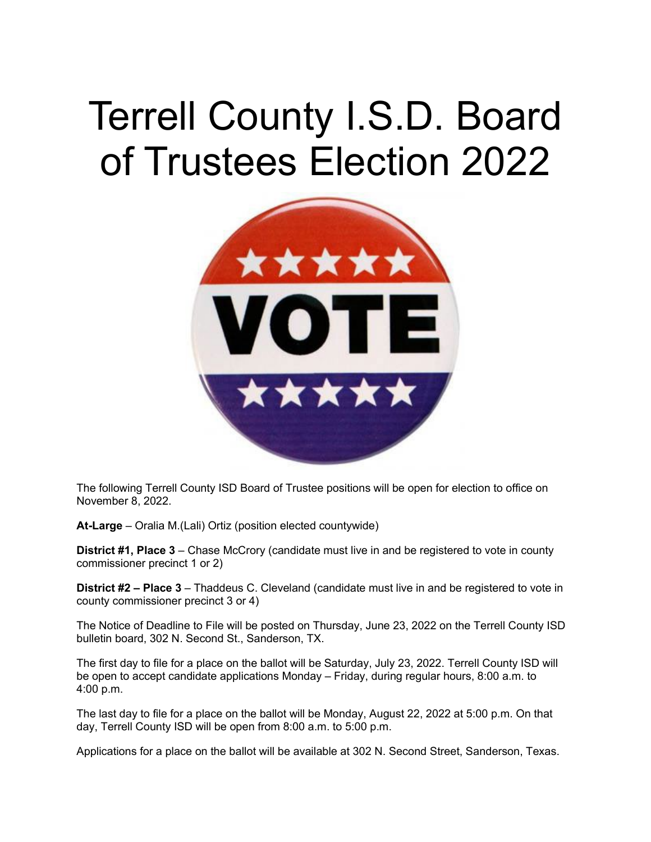## Terrell County I.S.D. Board of Trustees Election 2022



The following Terrell County ISD Board of Trustee positions will be open for election to office on November 8, 2022.

**At-Large** – Oralia M.(Lali) Ortiz (position elected countywide)

**District #1, Place 3** – Chase McCrory (candidate must live in and be registered to vote in county commissioner precinct 1 or 2)

**District #2 – Place 3** – Thaddeus C. Cleveland (candidate must live in and be registered to vote in county commissioner precinct 3 or 4)

The Notice of Deadline to File will be posted on Thursday, June 23, 2022 on the Terrell County ISD bulletin board, 302 N. Second St., Sanderson, TX.

The first day to file for a place on the ballot will be Saturday, July 23, 2022. Terrell County ISD will be open to accept candidate applications Monday – Friday, during regular hours, 8:00 a.m. to 4:00 p.m.

The last day to file for a place on the ballot will be Monday, August 22, 2022 at 5:00 p.m. On that day, Terrell County ISD will be open from 8:00 a.m. to 5:00 p.m.

Applications for a place on the ballot will be available at 302 N. Second Street, Sanderson, Texas.